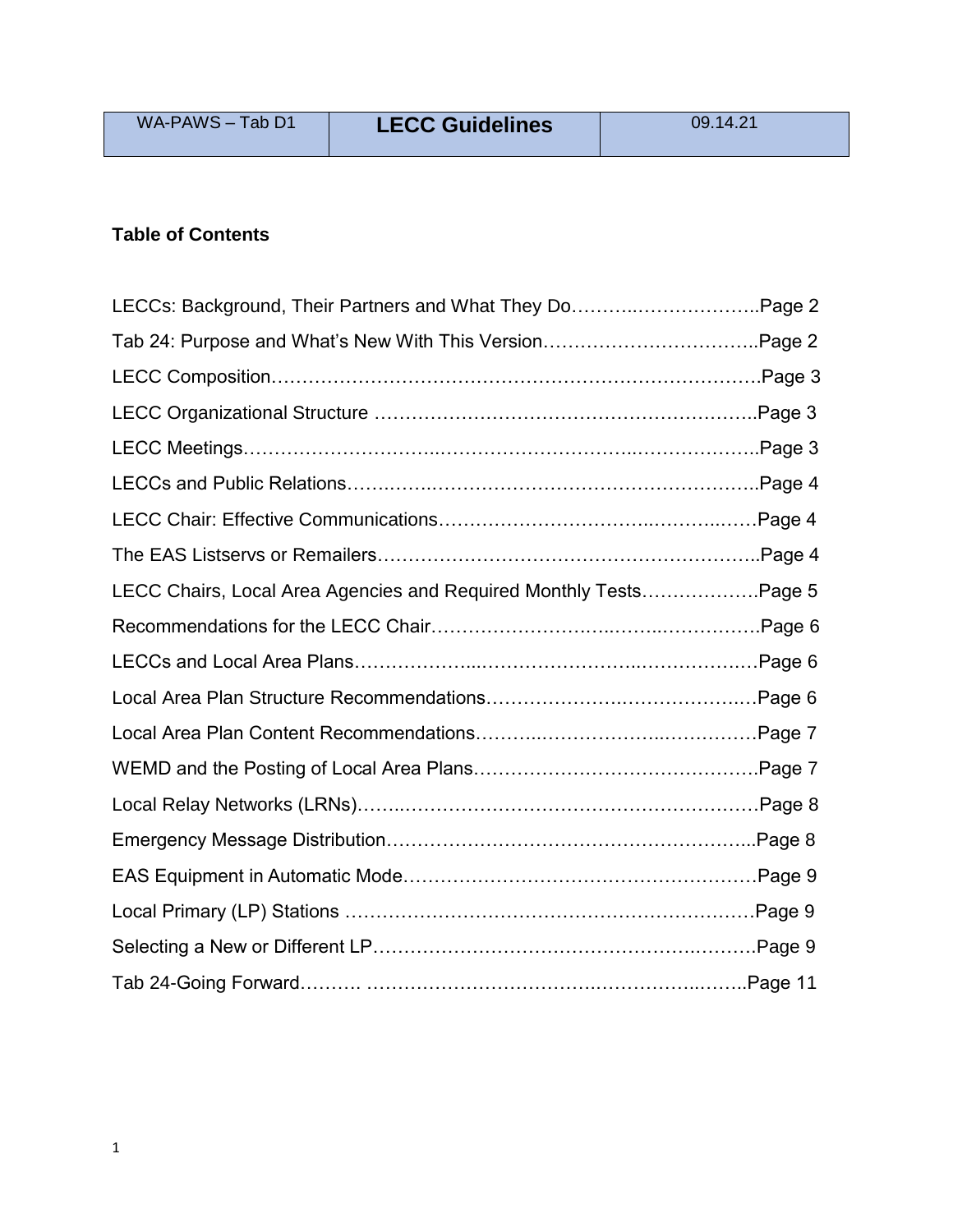| WA-PAWS - Tab D1 | <b>LECC Guidelines</b> | 09.14.21 |
|------------------|------------------------|----------|
|                  |                        |          |

# **Table of Contents**

| LECCs: Background, Their Partners and What They DoPage 2          |  |
|-------------------------------------------------------------------|--|
|                                                                   |  |
|                                                                   |  |
|                                                                   |  |
|                                                                   |  |
|                                                                   |  |
|                                                                   |  |
|                                                                   |  |
| LECC Chairs, Local Area Agencies and Required Monthly TestsPage 5 |  |
|                                                                   |  |
|                                                                   |  |
|                                                                   |  |
|                                                                   |  |
|                                                                   |  |
|                                                                   |  |
|                                                                   |  |
|                                                                   |  |
|                                                                   |  |
|                                                                   |  |
|                                                                   |  |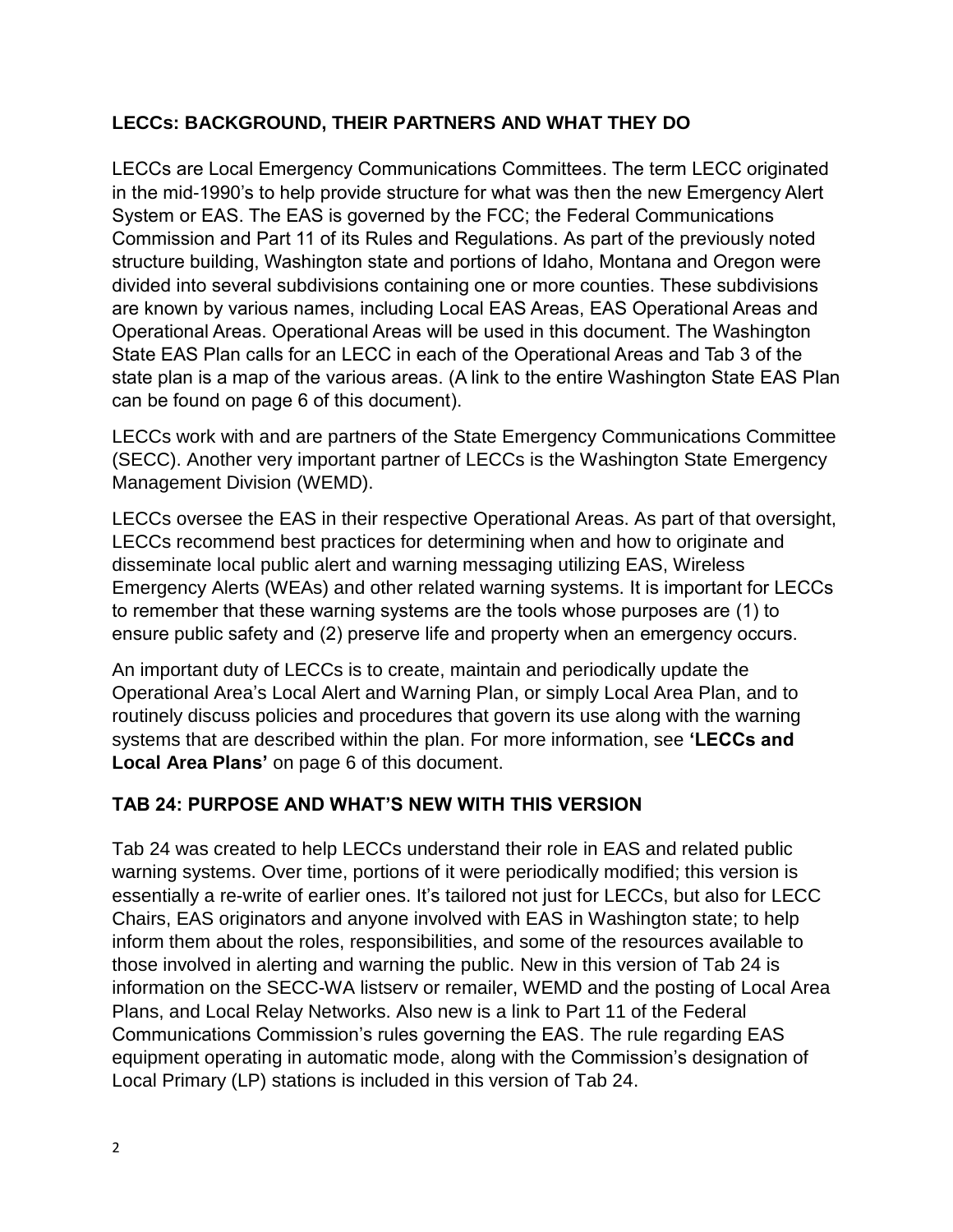### **LECCs: BACKGROUND, THEIR PARTNERS AND WHAT THEY DO**

LECCs are Local Emergency Communications Committees. The term LECC originated in the mid-1990's to help provide structure for what was then the new Emergency Alert System or EAS. The EAS is governed by the FCC; the Federal Communications Commission and Part 11 of its Rules and Regulations. As part of the previously noted structure building, Washington state and portions of Idaho, Montana and Oregon were divided into several subdivisions containing one or more counties. These subdivisions are known by various names, including Local EAS Areas, EAS Operational Areas and Operational Areas. Operational Areas will be used in this document. The Washington State EAS Plan calls for an LECC in each of the Operational Areas and Tab 3 of the state plan is a map of the various areas. (A link to the entire Washington State EAS Plan can be found on page 6 of this document).

LECCs work with and are partners of the State Emergency Communications Committee (SECC). Another very important partner of LECCs is the Washington State Emergency Management Division (WEMD).

LECCs oversee the EAS in their respective Operational Areas. As part of that oversight, LECCs recommend best practices for determining when and how to originate and disseminate local public alert and warning messaging utilizing EAS, Wireless Emergency Alerts (WEAs) and other related warning systems. It is important for LECCs to remember that these warning systems are the tools whose purposes are (1) to ensure public safety and (2) preserve life and property when an emergency occurs.

An important duty of LECCs is to create, maintain and periodically update the Operational Area's Local Alert and Warning Plan, or simply Local Area Plan, and to routinely discuss policies and procedures that govern its use along with the warning systems that are described within the plan. For more information, see **'LECCs and Local Area Plans'** on page 6 of this document.

### **TAB 24: PURPOSE AND WHAT'S NEW WITH THIS VERSION**

Tab 24 was created to help LECCs understand their role in EAS and related public warning systems. Over time, portions of it were periodically modified; this version is essentially a re-write of earlier ones. It's tailored not just for LECCs, but also for LECC Chairs, EAS originators and anyone involved with EAS in Washington state; to help inform them about the roles, responsibilities, and some of the resources available to those involved in alerting and warning the public. New in this version of Tab 24 is information on the SECC-WA listserv or remailer, WEMD and the posting of Local Area Plans, and Local Relay Networks. Also new is a link to Part 11 of the Federal Communications Commission's rules governing the EAS. The rule regarding EAS equipment operating in automatic mode, along with the Commission's designation of Local Primary (LP) stations is included in this version of Tab 24.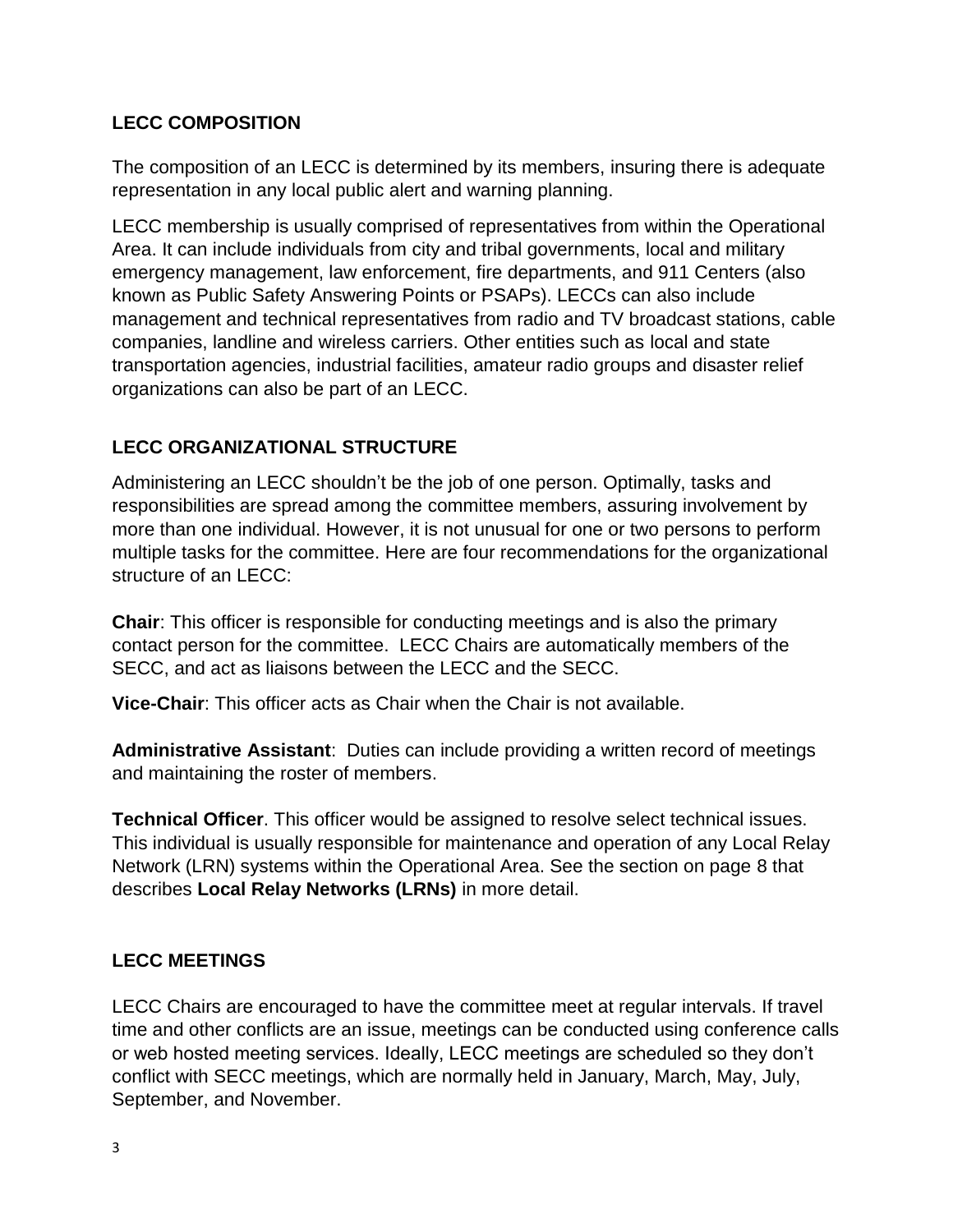### **LECC COMPOSITION**

The composition of an LECC is determined by its members, insuring there is adequate representation in any local public alert and warning planning.

LECC membership is usually comprised of representatives from within the Operational Area. It can include individuals from city and tribal governments, local and military emergency management, law enforcement, fire departments, and 911 Centers (also known as Public Safety Answering Points or PSAPs). LECCs can also include management and technical representatives from radio and TV broadcast stations, cable companies, landline and wireless carriers. Other entities such as local and state transportation agencies, industrial facilities, amateur radio groups and disaster relief organizations can also be part of an LECC.

### **LECC ORGANIZATIONAL STRUCTURE**

Administering an LECC shouldn't be the job of one person. Optimally, tasks and responsibilities are spread among the committee members, assuring involvement by more than one individual. However, it is not unusual for one or two persons to perform multiple tasks for the committee. Here are four recommendations for the organizational structure of an LECC:

**Chair**: This officer is responsible for conducting meetings and is also the primary contact person for the committee. LECC Chairs are automatically members of the SECC, and act as liaisons between the LECC and the SECC.

**Vice-Chair**: This officer acts as Chair when the Chair is not available.

**Administrative Assistant**: Duties can include providing a written record of meetings and maintaining the roster of members.

**Technical Officer**. This officer would be assigned to resolve select technical issues. This individual is usually responsible for maintenance and operation of any Local Relay Network (LRN) systems within the Operational Area. See the section on page 8 that describes **Local Relay Networks (LRNs)** in more detail.

### **LECC MEETINGS**

LECC Chairs are encouraged to have the committee meet at regular intervals. If travel time and other conflicts are an issue, meetings can be conducted using conference calls or web hosted meeting services. Ideally, LECC meetings are scheduled so they don't conflict with SECC meetings, which are normally held in January, March, May, July, September, and November.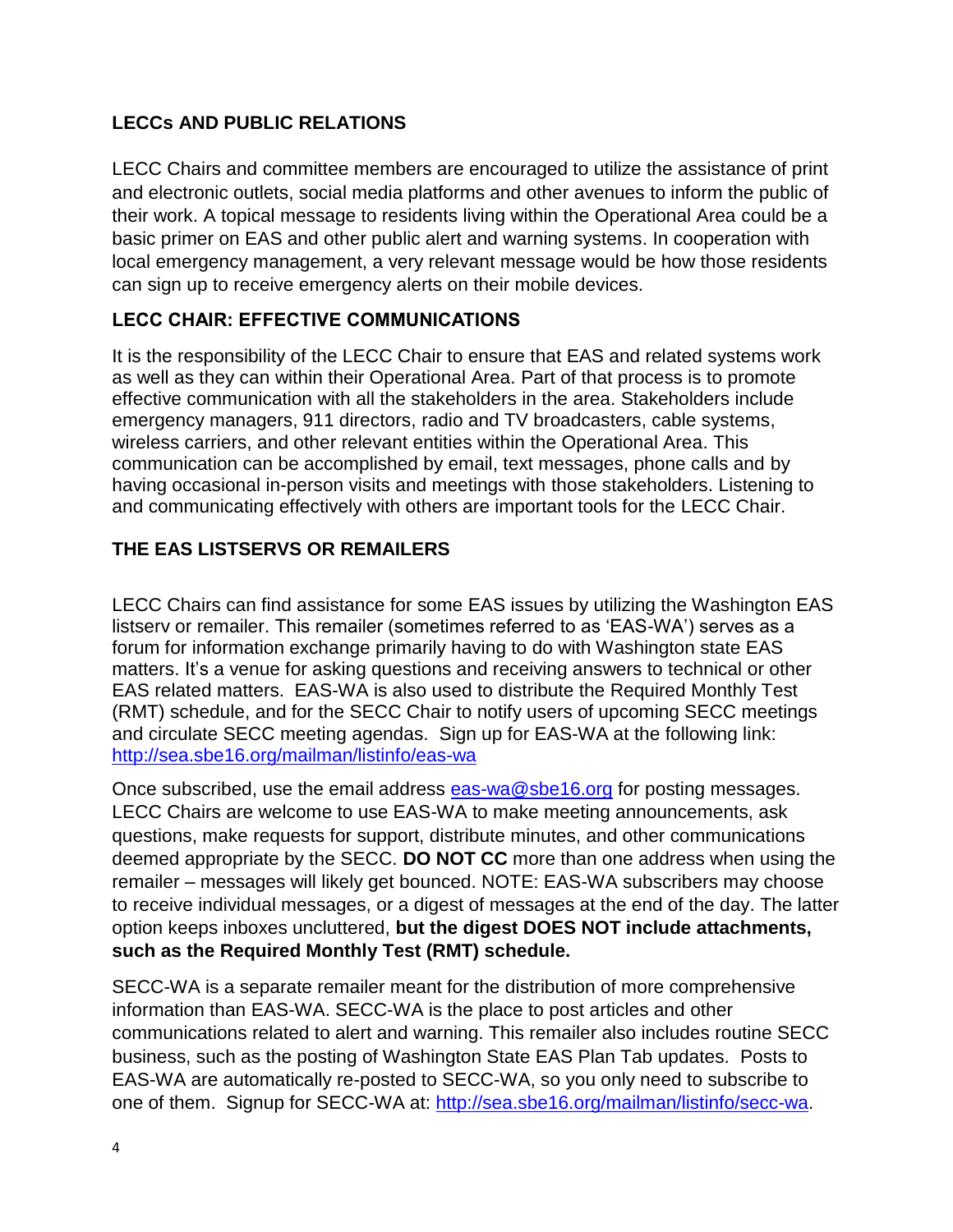## **LECCs AND PUBLIC RELATIONS**

LECC Chairs and committee members are encouraged to utilize the assistance of print and electronic outlets, social media platforms and other avenues to inform the public of their work. A topical message to residents living within the Operational Area could be a basic primer on EAS and other public alert and warning systems. In cooperation with local emergency management, a very relevant message would be how those residents can sign up to receive emergency alerts on their mobile devices.

### **LECC CHAIR: EFFECTIVE COMMUNICATIONS**

It is the responsibility of the LECC Chair to ensure that EAS and related systems work as well as they can within their Operational Area. Part of that process is to promote effective communication with all the stakeholders in the area. Stakeholders include emergency managers, 911 directors, radio and TV broadcasters, cable systems, wireless carriers, and other relevant entities within the Operational Area. This communication can be accomplished by email, text messages, phone calls and by having occasional in-person visits and meetings with those stakeholders. Listening to and communicating effectively with others are important tools for the LECC Chair.

### **THE EAS LISTSERVS OR REMAILERS**

LECC Chairs can find assistance for some EAS issues by utilizing the Washington EAS listserv or remailer. This remailer (sometimes referred to as 'EAS-WA') serves as a forum for information exchange primarily having to do with Washington state EAS matters. It's a venue for asking questions and receiving answers to technical or other EAS related matters. EAS-WA is also used to distribute the Required Monthly Test (RMT) schedule, and for the SECC Chair to notify users of upcoming SECC meetings and circulate SECC meeting agendas. Sign up for EAS-WA at the following link: [http://sea.sbe16.org/mailman/listinfo/eas-wa](https://nam04.safelinks.protection.outlook.com/?url=https%3A%2F%2Feur04.safelinks.protection.outlook.com%2F%3Furl%3Dhttp%253A%252F%252Fsea.sbe16.org%252Fmailman%252Flistinfo%252Feas-wa%26data%3D02%257C01%257C%257C253e6b3c9d1b4f4bed2d08d63de82152%257C84df9e7fe9f640afb435aaaaaaaaaaaa%257C1%257C0%257C636764464530843745%26sdata%3DnDEz9%252BF8GihNFYOet3VyqcO4PvTzHWwJFhkB4Z15gEg%253D%26reserved%3D0&data=02%7C01%7C%7Ce9acfda332dc4ee89b8d08d63eb4ff16%7C84df9e7fe9f640afb435aaaaaaaaaaaa%7C1%7C0%7C636765344421294350&sdata=L7oct6xt%2FNqfCu%2BVzGLOBF3Wfo4kok6s6a20aGELoo4%3D&reserved=0)

Once subscribed, use the email address **eas-wa@sbe16.org** for posting messages. LECC Chairs are welcome to use EAS-WA to make meeting announcements, ask questions, make requests for support, distribute minutes, and other communications deemed appropriate by the SECC. **DO NOT CC** more than one address when using the remailer – messages will likely get bounced. NOTE: EAS-WA subscribers may choose to receive individual messages, or a digest of messages at the end of the day. The latter option keeps inboxes uncluttered, **but the digest DOES NOT include attachments, such as the Required Monthly Test (RMT) schedule.**

SECC-WA is a separate remailer meant for the distribution of more comprehensive information than EAS-WA. SECC-WA is the place to post articles and other communications related to alert and warning. This remailer also includes routine SECC business, such as the posting of Washington State EAS Plan Tab updates. Posts to EAS-WA are automatically re-posted to SECC-WA, so you only need to subscribe to one of them. Signup for SECC-WA at: [http://sea.sbe16.org/mailman/listinfo/secc-wa.](https://nam04.safelinks.protection.outlook.com/?url=https%3A%2F%2Feur04.safelinks.protection.outlook.com%2F%3Furl%3Dhttp%253A%252F%252Fsea.sbe16.org%252Fmailman%252Flistinfo%252Fsecc-wa%26data%3D02%257C01%257C%257C253e6b3c9d1b4f4bed2d08d63de82152%257C84df9e7fe9f640afb435aaaaaaaaaaaa%257C1%257C0%257C636764464530843745%26sdata%3DDUbzQYfygvl6PP1dYi86Q8mz%252BmS6WjSOahJsm%252BEA4Jo%253D%26reserved%3D0&data=02%7C01%7C%7Ce9acfda332dc4ee89b8d08d63eb4ff16%7C84df9e7fe9f640afb435aaaaaaaaaaaa%7C1%7C0%7C636765344421294350&sdata=b%2BiuQ%2BNzQ5qifKt%2FI5LWuVt0%2BAKi8bi3kZ5ubAEt9SU%3D&reserved=0)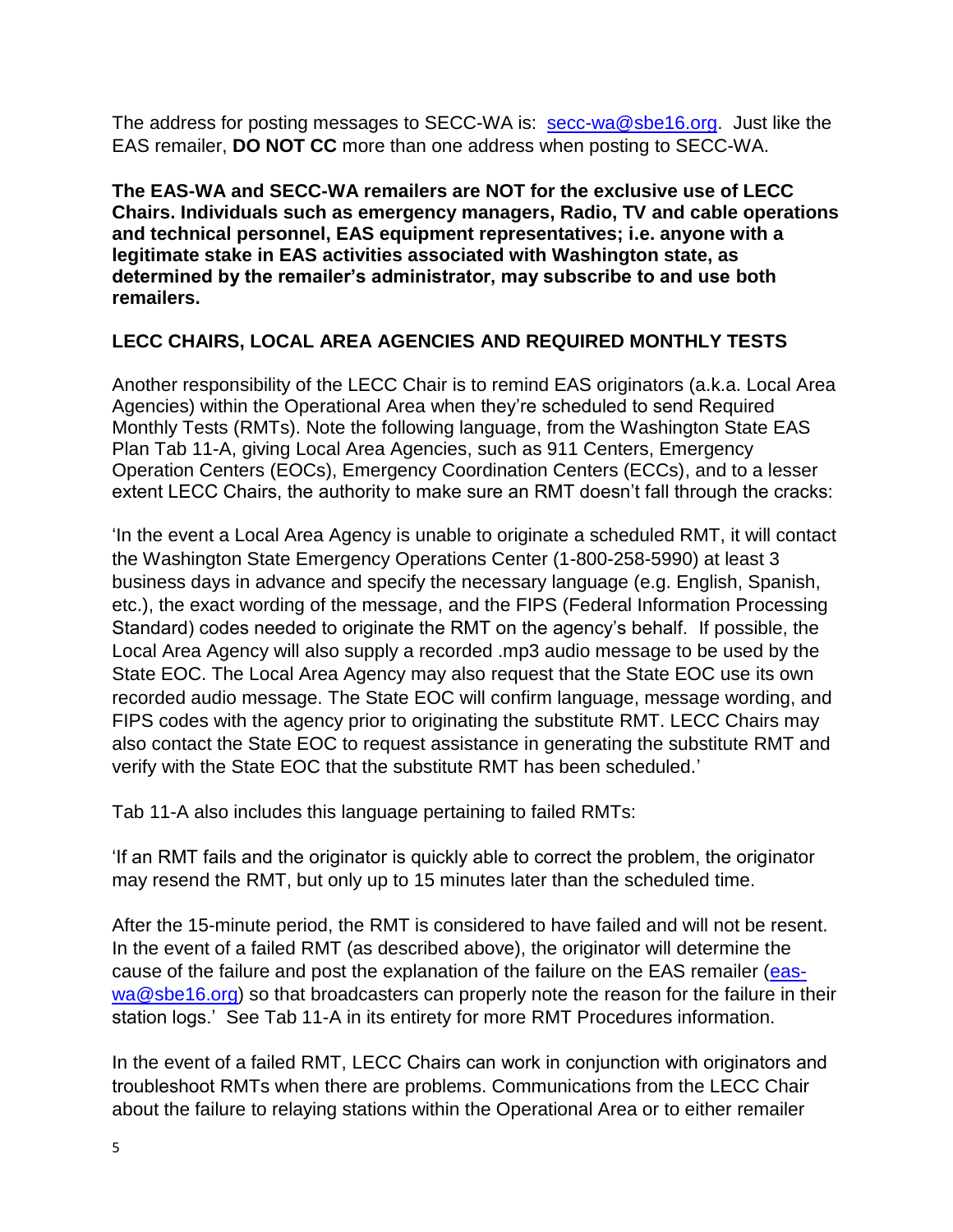The address for posting messages to SECC-WA is: [secc-wa@sbe16.org.](mailto:secc-wa@sbe16.org) Just like the EAS remailer, **DO NOT CC** more than one address when posting to SECC-WA.

**The EAS-WA and SECC-WA remailers are NOT for the exclusive use of LECC Chairs. Individuals such as emergency managers, Radio, TV and cable operations and technical personnel, EAS equipment representatives; i.e. anyone with a legitimate stake in EAS activities associated with Washington state, as determined by the remailer's administrator, may subscribe to and use both remailers.**

### **LECC CHAIRS, LOCAL AREA AGENCIES AND REQUIRED MONTHLY TESTS**

Another responsibility of the LECC Chair is to remind EAS originators (a.k.a. Local Area Agencies) within the Operational Area when they're scheduled to send Required Monthly Tests (RMTs). Note the following language, from the Washington State EAS Plan Tab 11-A, giving Local Area Agencies, such as 911 Centers, Emergency Operation Centers (EOCs), Emergency Coordination Centers (ECCs), and to a lesser extent LECC Chairs, the authority to make sure an RMT doesn't fall through the cracks:

'In the event a Local Area Agency is unable to originate a scheduled RMT, it will contact the Washington State Emergency Operations Center (1-800-258-5990) at least 3 business days in advance and specify the necessary language (e.g. English, Spanish, etc.), the exact wording of the message, and the FIPS (Federal Information Processing Standard) codes needed to originate the RMT on the agency's behalf. If possible, the Local Area Agency will also supply a recorded .mp3 audio message to be used by the State EOC. The Local Area Agency may also request that the State EOC use its own recorded audio message. The State EOC will confirm language, message wording, and FIPS codes with the agency prior to originating the substitute RMT. LECC Chairs may also contact the State EOC to request assistance in generating the substitute RMT and verify with the State EOC that the substitute RMT has been scheduled.'

Tab 11-A also includes this language pertaining to failed RMTs:

'If an RMT fails and the originator is quickly able to correct the problem, the originator may resend the RMT, but only up to 15 minutes later than the scheduled time.

After the 15-minute period, the RMT is considered to have failed and will not be resent. In the event of a failed RMT (as described above), the originator will determine the cause of the failure and post the explanation of the failure on the EAS remailer [\(eas](mailto:eas-wa@sbe16.org)[wa@sbe16.org\)](mailto:eas-wa@sbe16.org) so that broadcasters can properly note the reason for the failure in their station logs.' See Tab 11-A in its entirety for more RMT Procedures information.

In the event of a failed RMT, LECC Chairs can work in conjunction with originators and troubleshoot RMTs when there are problems. Communications from the LECC Chair about the failure to relaying stations within the Operational Area or to either remailer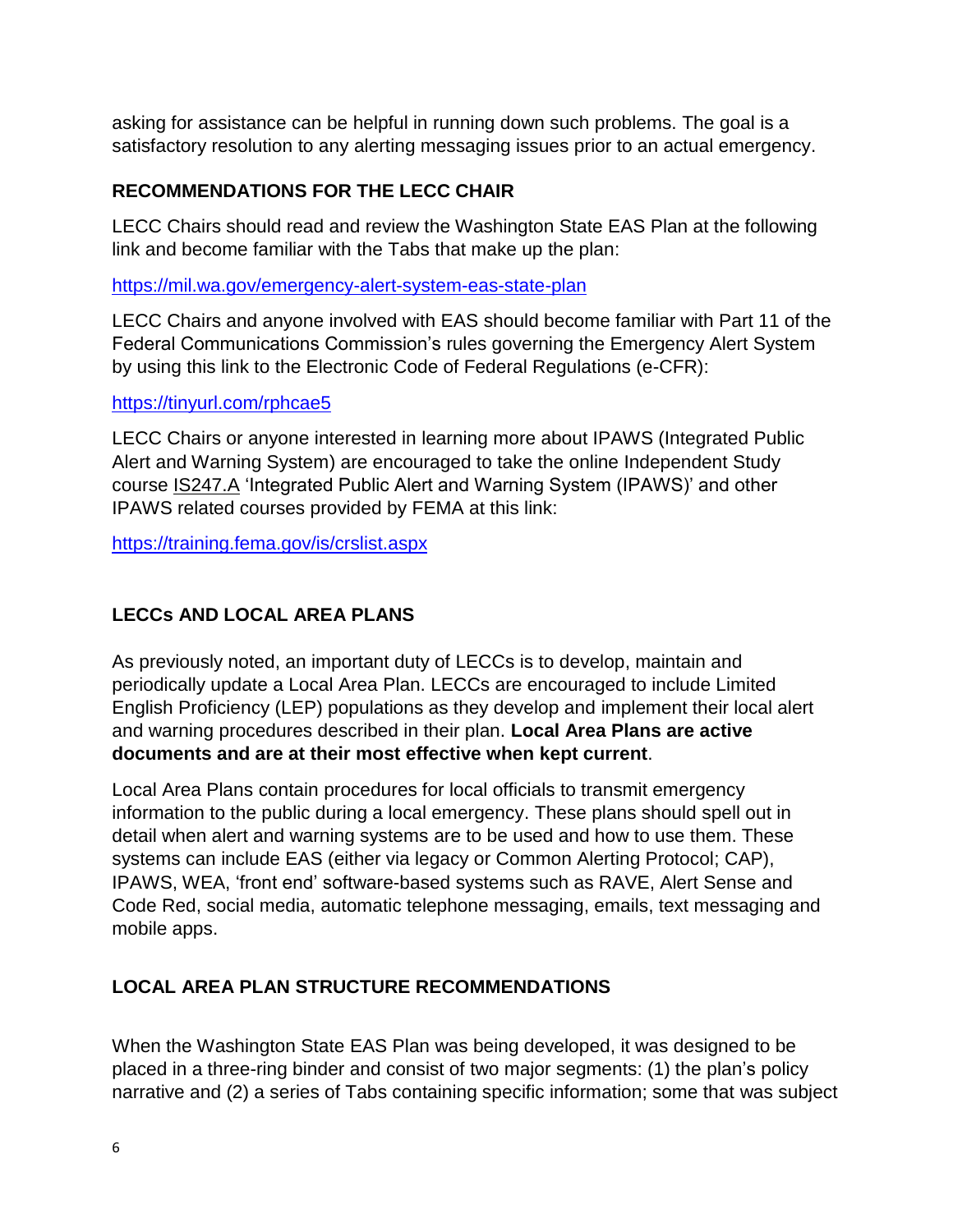asking for assistance can be helpful in running down such problems. The goal is a satisfactory resolution to any alerting messaging issues prior to an actual emergency.

### **RECOMMENDATIONS FOR THE LECC CHAIR**

LECC Chairs should read and review the Washington State EAS Plan at the following link and become familiar with the Tabs that make up the plan:

<https://mil.wa.gov/emergency-alert-system-eas-state-plan>

LECC Chairs and anyone involved with EAS should become familiar with Part 11 of the Federal Communications Commission's rules governing the Emergency Alert System by using this link to the Electronic Code of Federal Regulations (e-CFR):

### <https://tinyurl.com/rphcae5>

LECC Chairs or anyone interested in learning more about IPAWS (Integrated Public Alert and Warning System) are encouraged to take the online Independent Study course IS247.A 'Integrated Public Alert and Warning System (IPAWS)' and other IPAWS related courses provided by FEMA at this link:

<https://training.fema.gov/is/crslist.aspx>

## **LECCs AND LOCAL AREA PLANS**

As previously noted, an important duty of LECCs is to develop, maintain and periodically update a Local Area Plan. LECCs are encouraged to include Limited English Proficiency (LEP) populations as they develop and implement their local alert and warning procedures described in their plan. **Local Area Plans are active documents and are at their most effective when kept current**.

Local Area Plans contain procedures for local officials to transmit emergency information to the public during a local emergency. These plans should spell out in detail when alert and warning systems are to be used and how to use them. These systems can include EAS (either via legacy or Common Alerting Protocol; CAP), IPAWS, WEA, 'front end' software-based systems such as RAVE, Alert Sense and Code Red, social media, automatic telephone messaging, emails, text messaging and mobile apps.

## **LOCAL AREA PLAN STRUCTURE RECOMMENDATIONS**

When the Washington State EAS Plan was being developed, it was designed to be placed in a three-ring binder and consist of two major segments: (1) the plan's policy narrative and (2) a series of Tabs containing specific information; some that was subject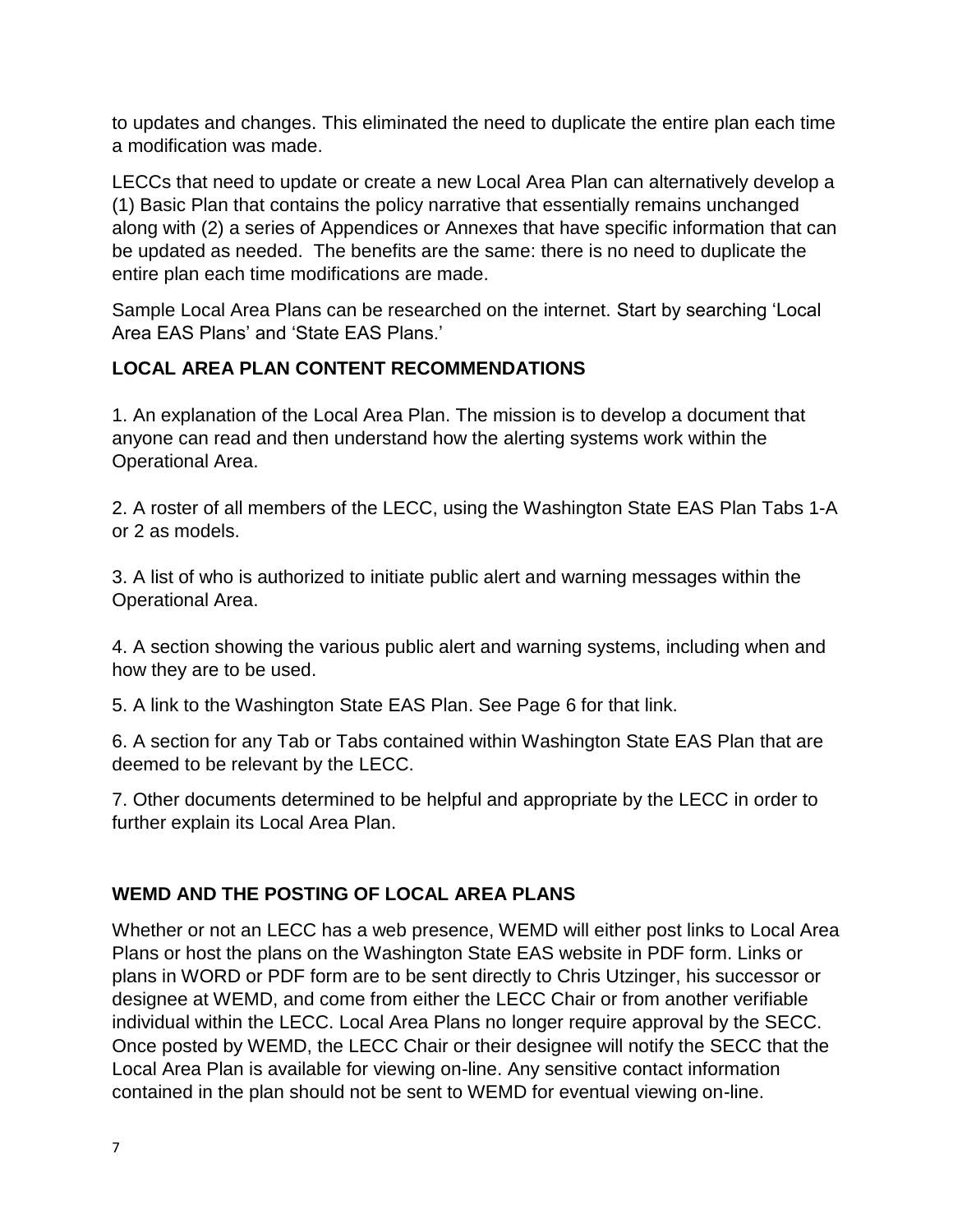to updates and changes. This eliminated the need to duplicate the entire plan each time a modification was made.

LECCs that need to update or create a new Local Area Plan can alternatively develop a (1) Basic Plan that contains the policy narrative that essentially remains unchanged along with (2) a series of Appendices or Annexes that have specific information that can be updated as needed. The benefits are the same: there is no need to duplicate the entire plan each time modifications are made.

Sample Local Area Plans can be researched on the internet. Start by searching 'Local Area EAS Plans' and 'State EAS Plans.'

### **LOCAL AREA PLAN CONTENT RECOMMENDATIONS**

1. An explanation of the Local Area Plan. The mission is to develop a document that anyone can read and then understand how the alerting systems work within the Operational Area.

2. A roster of all members of the LECC, using the Washington State EAS Plan Tabs 1-A or 2 as models.

3. A list of who is authorized to initiate public alert and warning messages within the Operational Area.

4. A section showing the various public alert and warning systems, including when and how they are to be used.

5. A link to the Washington State EAS Plan. See Page 6 for that link.

6. A section for any Tab or Tabs contained within Washington State EAS Plan that are deemed to be relevant by the LECC.

7. Other documents determined to be helpful and appropriate by the LECC in order to further explain its Local Area Plan.

## **WEMD AND THE POSTING OF LOCAL AREA PLANS**

Whether or not an LECC has a web presence, WEMD will either post links to Local Area Plans or host the plans on the Washington State EAS website in PDF form. Links or plans in WORD or PDF form are to be sent directly to Chris Utzinger, his successor or designee at WEMD, and come from either the LECC Chair or from another verifiable individual within the LECC. Local Area Plans no longer require approval by the SECC. Once posted by WEMD, the LECC Chair or their designee will notify the SECC that the Local Area Plan is available for viewing on-line. Any sensitive contact information contained in the plan should not be sent to WEMD for eventual viewing on-line.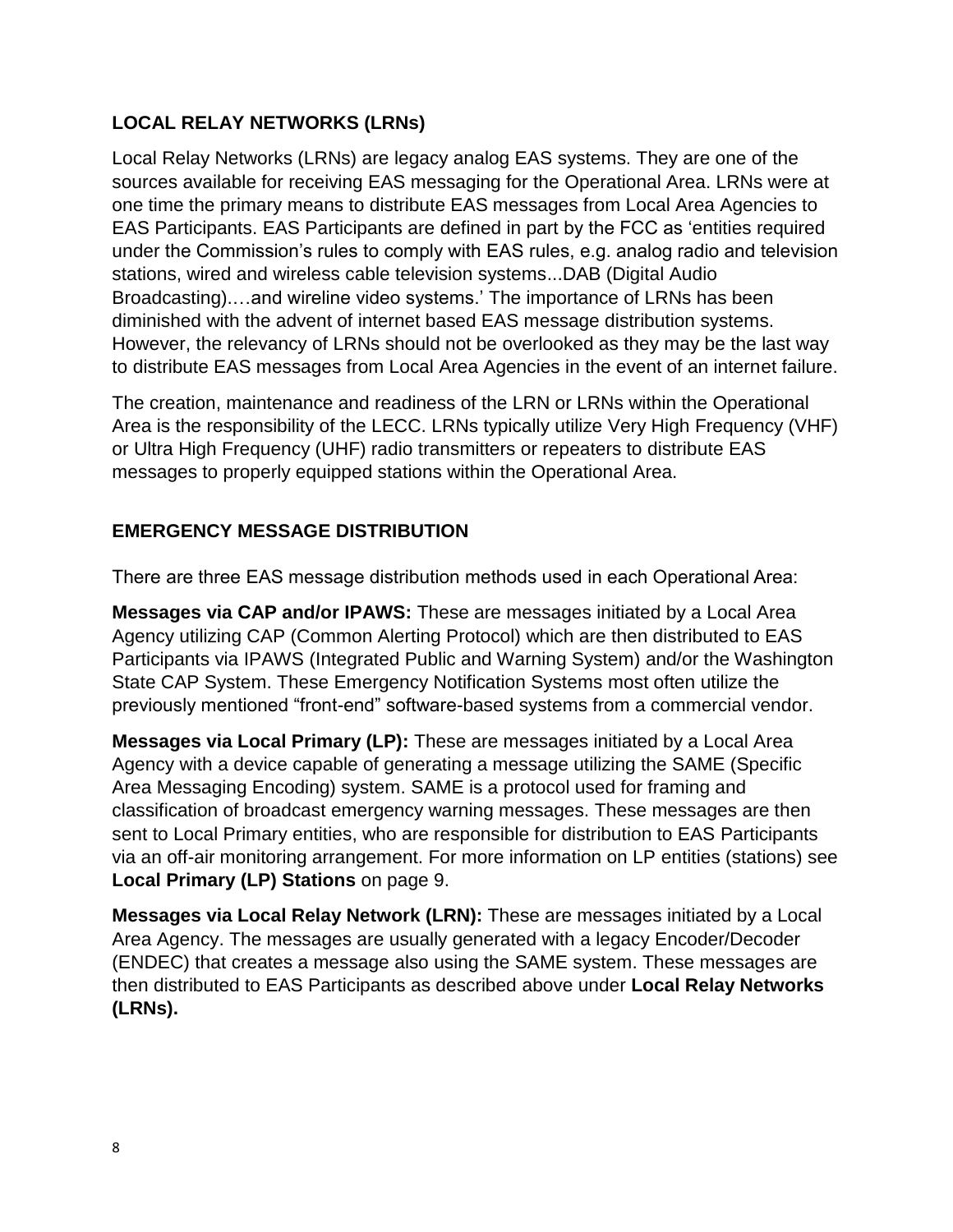## **LOCAL RELAY NETWORKS (LRNs)**

Local Relay Networks (LRNs) are legacy analog EAS systems. They are one of the sources available for receiving EAS messaging for the Operational Area. LRNs were at one time the primary means to distribute EAS messages from Local Area Agencies to EAS Participants. EAS Participants are defined in part by the FCC as 'entities required under the Commission's rules to comply with EAS rules, e.g. analog radio and television stations, wired and wireless cable television systems...DAB (Digital Audio Broadcasting).…and wireline video systems.' The importance of LRNs has been diminished with the advent of internet based EAS message distribution systems. However, the relevancy of LRNs should not be overlooked as they may be the last way to distribute EAS messages from Local Area Agencies in the event of an internet failure.

The creation, maintenance and readiness of the LRN or LRNs within the Operational Area is the responsibility of the LECC. LRNs typically utilize Very High Frequency (VHF) or Ultra High Frequency (UHF) radio transmitters or repeaters to distribute EAS messages to properly equipped stations within the Operational Area.

### **EMERGENCY MESSAGE DISTRIBUTION**

There are three EAS message distribution methods used in each Operational Area:

**Messages via CAP and/or IPAWS:** These are messages initiated by a Local Area Agency utilizing CAP (Common Alerting Protocol) which are then distributed to EAS Participants via IPAWS (Integrated Public and Warning System) and/or the Washington State CAP System. These Emergency Notification Systems most often utilize the previously mentioned "front-end" software-based systems from a commercial vendor.

**Messages via Local Primary (LP):** These are messages initiated by a Local Area Agency with a device capable of generating a message utilizing the SAME (Specific Area Messaging Encoding) system. SAME is a protocol used for framing and classification of broadcast emergency warning messages. These messages are then sent to Local Primary entities, who are responsible for distribution to EAS Participants via an off-air monitoring arrangement. For more information on LP entities (stations) see **Local Primary (LP) Stations** on page 9.

**Messages via Local Relay Network (LRN):** These are messages initiated by a Local Area Agency. The messages are usually generated with a legacy Encoder/Decoder (ENDEC) that creates a message also using the SAME system. These messages are then distributed to EAS Participants as described above under **Local Relay Networks (LRNs).**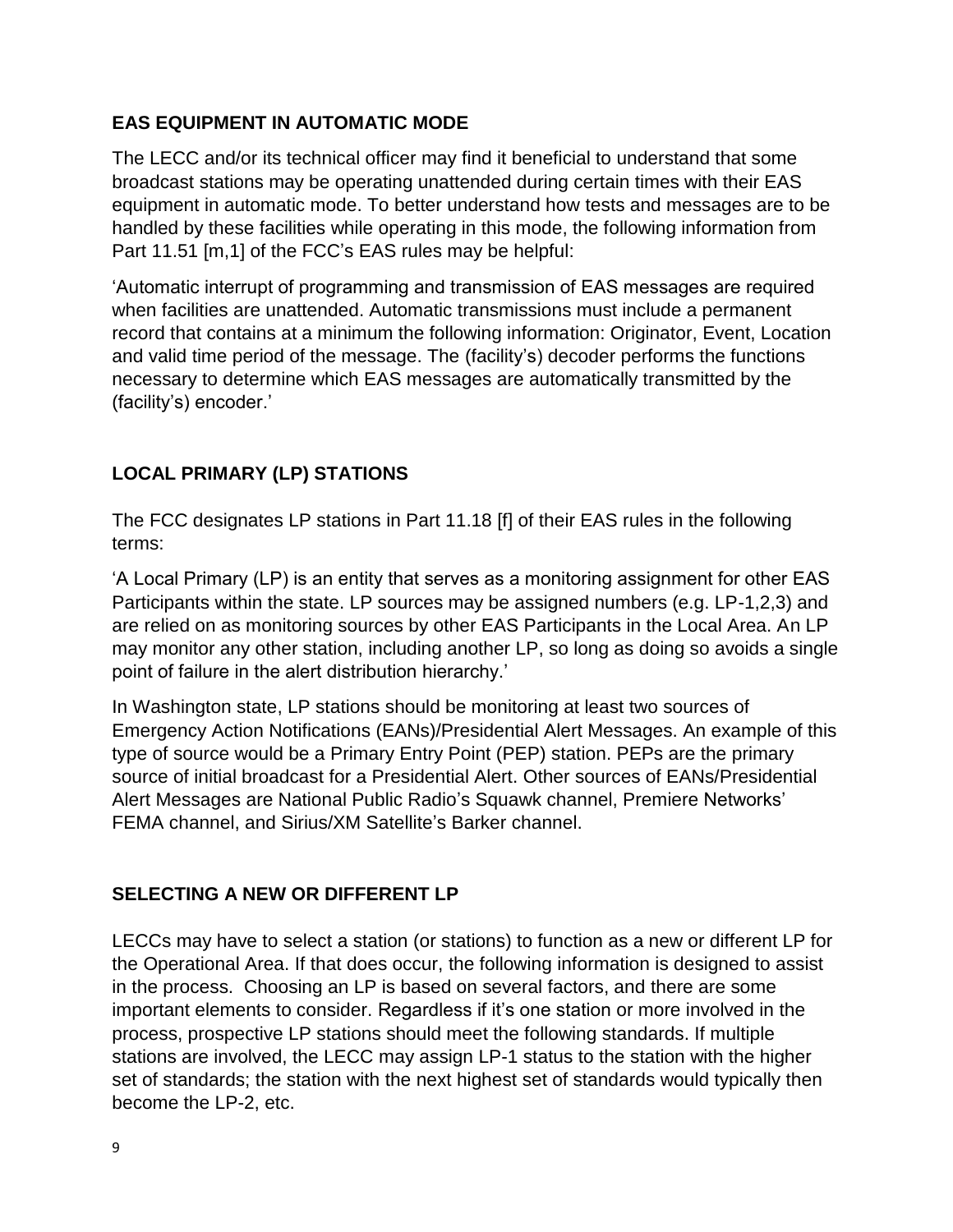### **EAS EQUIPMENT IN AUTOMATIC MODE**

The LECC and/or its technical officer may find it beneficial to understand that some broadcast stations may be operating unattended during certain times with their EAS equipment in automatic mode. To better understand how tests and messages are to be handled by these facilities while operating in this mode, the following information from Part 11.51 [m,1] of the FCC's EAS rules may be helpful:

'Automatic interrupt of programming and transmission of EAS messages are required when facilities are unattended. Automatic transmissions must include a permanent record that contains at a minimum the following information: Originator, Event, Location and valid time period of the message. The (facility's) decoder performs the functions necessary to determine which EAS messages are automatically transmitted by the (facility's) encoder.'

## **LOCAL PRIMARY (LP) STATIONS**

The FCC designates LP stations in Part 11.18 [f] of their EAS rules in the following terms:

'A Local Primary (LP) is an entity that serves as a monitoring assignment for other EAS Participants within the state. LP sources may be assigned numbers (e.g. LP-1,2,3) and are relied on as monitoring sources by other EAS Participants in the Local Area. An LP may monitor any other station, including another LP, so long as doing so avoids a single point of failure in the alert distribution hierarchy.'

In Washington state, LP stations should be monitoring at least two sources of Emergency Action Notifications (EANs)/Presidential Alert Messages. An example of this type of source would be a Primary Entry Point (PEP) station. PEPs are the primary source of initial broadcast for a Presidential Alert. Other sources of EANs/Presidential Alert Messages are National Public Radio's Squawk channel, Premiere Networks' FEMA channel, and Sirius/XM Satellite's Barker channel.

### **SELECTING A NEW OR DIFFERENT LP**

LECCs may have to select a station (or stations) to function as a new or different LP for the Operational Area. If that does occur, the following information is designed to assist in the process. Choosing an LP is based on several factors, and there are some important elements to consider. Regardless if it's one station or more involved in the process, prospective LP stations should meet the following standards. If multiple stations are involved, the LECC may assign LP-1 status to the station with the higher set of standards; the station with the next highest set of standards would typically then become the LP-2, etc.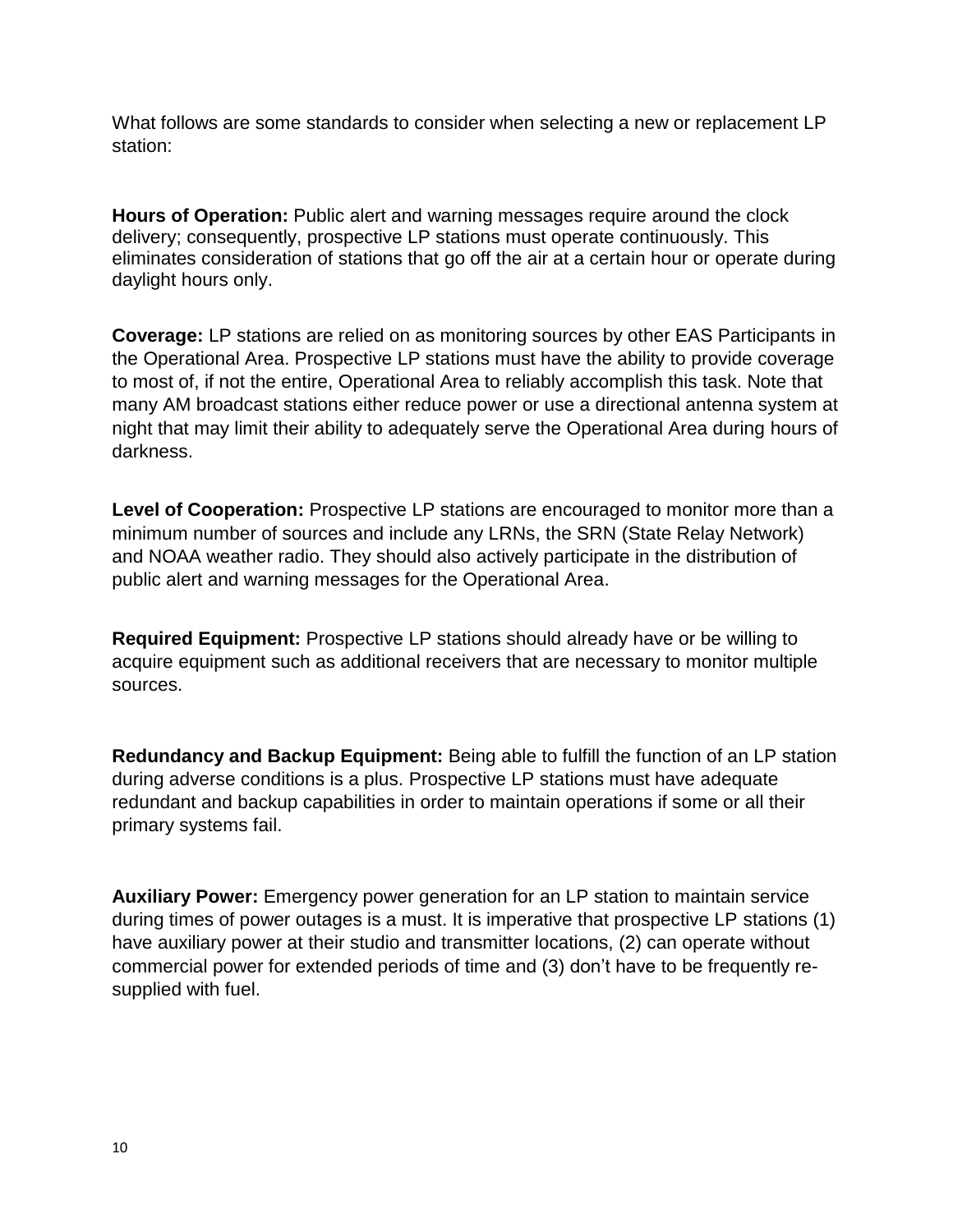What follows are some standards to consider when selecting a new or replacement LP station:

**Hours of Operation:** Public alert and warning messages require around the clock delivery; consequently, prospective LP stations must operate continuously. This eliminates consideration of stations that go off the air at a certain hour or operate during daylight hours only.

**Coverage:** LP stations are relied on as monitoring sources by other EAS Participants in the Operational Area. Prospective LP stations must have the ability to provide coverage to most of, if not the entire, Operational Area to reliably accomplish this task. Note that many AM broadcast stations either reduce power or use a directional antenna system at night that may limit their ability to adequately serve the Operational Area during hours of darkness.

Level of Cooperation: Prospective LP stations are encouraged to monitor more than a minimum number of sources and include any LRNs, the SRN (State Relay Network) and NOAA weather radio. They should also actively participate in the distribution of public alert and warning messages for the Operational Area.

**Required Equipment:** Prospective LP stations should already have or be willing to acquire equipment such as additional receivers that are necessary to monitor multiple sources.

**Redundancy and Backup Equipment:** Being able to fulfill the function of an LP station during adverse conditions is a plus. Prospective LP stations must have adequate redundant and backup capabilities in order to maintain operations if some or all their primary systems fail.

**Auxiliary Power:** Emergency power generation for an LP station to maintain service during times of power outages is a must. It is imperative that prospective LP stations (1) have auxiliary power at their studio and transmitter locations, (2) can operate without commercial power for extended periods of time and (3) don't have to be frequently resupplied with fuel.